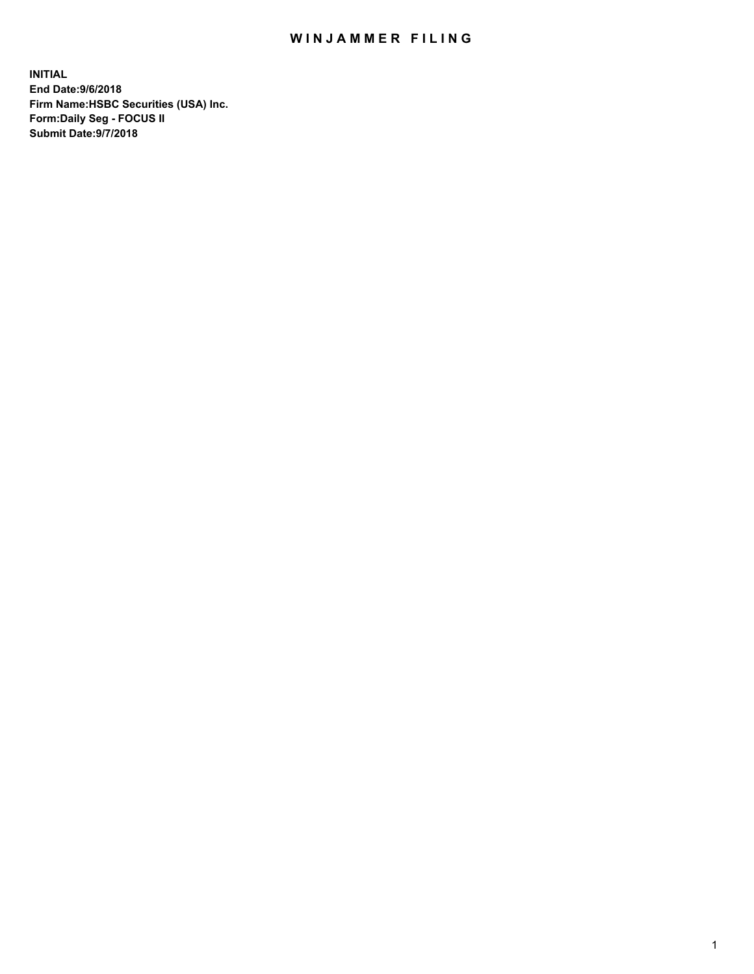## WIN JAMMER FILING

**INITIAL End Date:9/6/2018 Firm Name:HSBC Securities (USA) Inc. Form:Daily Seg - FOCUS II Submit Date:9/7/2018**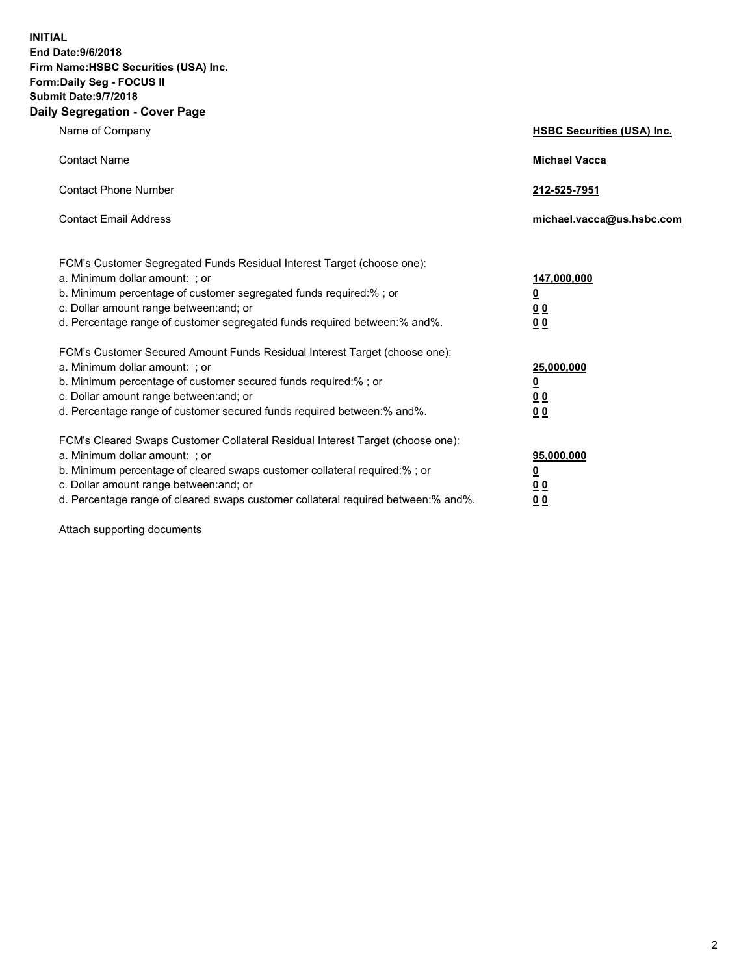**INITIAL End Date:9/6/2018 Firm Name:HSBC Securities (USA) Inc. Form:Daily Seg - FOCUS II Submit Date:9/7/2018 Daily Segregation - Cover Page**

| Name of Company                                                                                                                                                                                                                                                                                                                | <b>HSBC Securities (USA) Inc.</b>                                          |
|--------------------------------------------------------------------------------------------------------------------------------------------------------------------------------------------------------------------------------------------------------------------------------------------------------------------------------|----------------------------------------------------------------------------|
| <b>Contact Name</b>                                                                                                                                                                                                                                                                                                            | <b>Michael Vacca</b>                                                       |
| <b>Contact Phone Number</b>                                                                                                                                                                                                                                                                                                    | 212-525-7951                                                               |
| <b>Contact Email Address</b>                                                                                                                                                                                                                                                                                                   | michael.vacca@us.hsbc.com                                                  |
| FCM's Customer Segregated Funds Residual Interest Target (choose one):<br>a. Minimum dollar amount: : or<br>b. Minimum percentage of customer segregated funds required:% ; or<br>c. Dollar amount range between: and; or<br>d. Percentage range of customer segregated funds required between:% and%.                         | 147,000,000<br>$\overline{\mathbf{0}}$<br>0 <sub>0</sub><br>0 <sub>0</sub> |
| FCM's Customer Secured Amount Funds Residual Interest Target (choose one):<br>a. Minimum dollar amount: ; or<br>b. Minimum percentage of customer secured funds required:% ; or<br>c. Dollar amount range between: and; or<br>d. Percentage range of customer secured funds required between:% and%.                           | 25,000,000<br><u>0</u><br>0 <sub>0</sub><br>0 <sub>0</sub>                 |
| FCM's Cleared Swaps Customer Collateral Residual Interest Target (choose one):<br>a. Minimum dollar amount: ; or<br>b. Minimum percentage of cleared swaps customer collateral required:% ; or<br>c. Dollar amount range between: and; or<br>d. Percentage range of cleared swaps customer collateral required between:% and%. | 95,000,000<br><u>0</u><br>00<br><u>00</u>                                  |

Attach supporting documents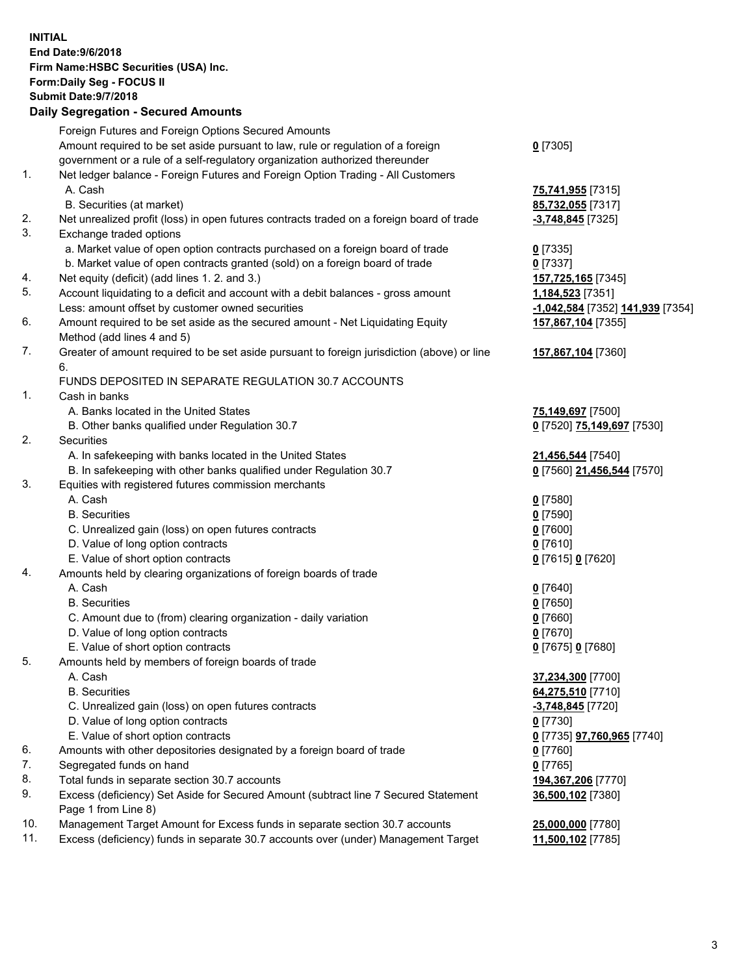**INITIAL End Date:9/6/2018 Firm Name:HSBC Securities (USA) Inc. Form:Daily Seg - FOCUS II Submit Date:9/7/2018 Daily Segregation - Secured Amounts** Foreign Futures and Foreign Options Secured Amounts Amount required to be set aside pursuant to law, rule or regulation of a foreign government or a rule of a self-regulatory organization authorized thereunder **0** [7305] 1. Net ledger balance - Foreign Futures and Foreign Option Trading - All Customers A. Cash **75,741,955** [7315] B. Securities (at market) **85,732,055** [7317] 2. Net unrealized profit (loss) in open futures contracts traded on a foreign board of trade **-3,748,845** [7325] 3. Exchange traded options a. Market value of open option contracts purchased on a foreign board of trade **0** [7335] b. Market value of open contracts granted (sold) on a foreign board of trade **0** [7337] 4. Net equity (deficit) (add lines 1. 2. and 3.) **157,725,165** [7345] 5. Account liquidating to a deficit and account with a debit balances - gross amount **1,184,523** [7351] Less: amount offset by customer owned securities **-1,042,584** [7352] **141,939** [7354] 6. Amount required to be set aside as the secured amount - Net Liquidating Equity Method (add lines 4 and 5) **157,867,104** [7355] 7. Greater of amount required to be set aside pursuant to foreign jurisdiction (above) or line 6. **157,867,104** [7360] FUNDS DEPOSITED IN SEPARATE REGULATION 30.7 ACCOUNTS 1. Cash in banks A. Banks located in the United States **75,149,697** [7500] B. Other banks qualified under Regulation 30.7 **0** [7520] **75,149,697** [7530] 2. Securities A. In safekeeping with banks located in the United States **21,456,544** [7540] B. In safekeeping with other banks qualified under Regulation 30.7 **0** [7560] **21,456,544** [7570] 3. Equities with registered futures commission merchants A. Cash **0** [7580] B. Securities **0** [7590] C. Unrealized gain (loss) on open futures contracts **0** [7600] D. Value of long option contracts **0** [7610] E. Value of short option contracts **0** [7615] **0** [7620] 4. Amounts held by clearing organizations of foreign boards of trade A. Cash **0** [7640] B. Securities **0** [7650] C. Amount due to (from) clearing organization - daily variation **0** [7660] D. Value of long option contracts **0** [7670] E. Value of short option contracts **0** [7675] **0** [7680] 5. Amounts held by members of foreign boards of trade A. Cash **37,234,300** [7700] B. Securities **64,275,510** [7710] C. Unrealized gain (loss) on open futures contracts **-3,748,845** [7720] D. Value of long option contracts **0** [7730] E. Value of short option contracts **0** [7735] **97,760,965** [7740] 6. Amounts with other depositories designated by a foreign board of trade **0** [7760] 7. Segregated funds on hand **0** [7765] 8. Total funds in separate section 30.7 accounts **194,367,206** [7770] 9. Excess (deficiency) Set Aside for Secured Amount (subtract line 7 Secured Statement Page 1 from Line 8) **36,500,102** [7380] 10. Management Target Amount for Excess funds in separate section 30.7 accounts **25,000,000** [7780] 11. Excess (deficiency) funds in separate 30.7 accounts over (under) Management Target **11,500,102** [7785]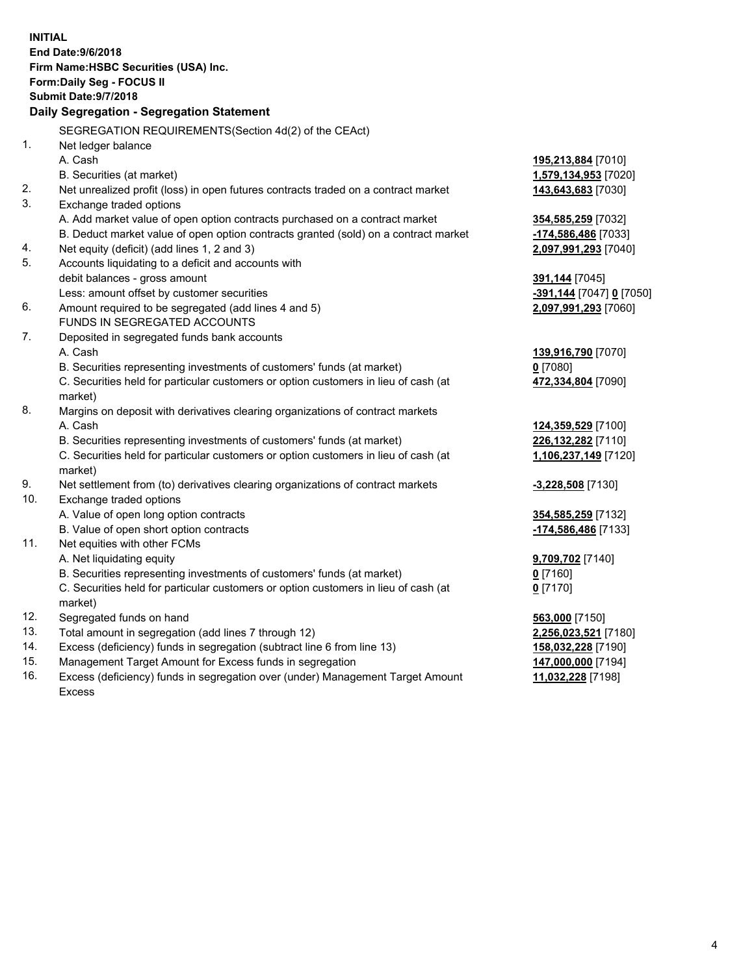| <b>INITIAL</b> | End Date: 9/6/2018<br>Firm Name: HSBC Securities (USA) Inc.<br>Form: Daily Seg - FOCUS II<br><b>Submit Date: 9/7/2018</b><br>Daily Segregation - Segregation Statement |                                        |
|----------------|------------------------------------------------------------------------------------------------------------------------------------------------------------------------|----------------------------------------|
|                | SEGREGATION REQUIREMENTS(Section 4d(2) of the CEAct)                                                                                                                   |                                        |
| 1.             | Net ledger balance                                                                                                                                                     |                                        |
|                | A. Cash                                                                                                                                                                | 195,213,884 [7010]                     |
|                | B. Securities (at market)                                                                                                                                              | 1,579,134,953 [7020]                   |
| 2.             | Net unrealized profit (loss) in open futures contracts traded on a contract market                                                                                     | 143,643,683 [7030]                     |
| 3.             | Exchange traded options                                                                                                                                                |                                        |
|                | A. Add market value of open option contracts purchased on a contract market                                                                                            | 354,585,259 [7032]                     |
|                | B. Deduct market value of open option contracts granted (sold) on a contract market                                                                                    | -174,586,486 [7033]                    |
| 4.             | Net equity (deficit) (add lines 1, 2 and 3)                                                                                                                            | 2,097,991,293 [7040]                   |
| 5.             | Accounts liquidating to a deficit and accounts with                                                                                                                    |                                        |
|                | debit balances - gross amount                                                                                                                                          | 391,144 [7045]                         |
|                | Less: amount offset by customer securities                                                                                                                             | <u>-391,144</u> [7047] <u>0</u> [7050] |
| 6.             | Amount required to be segregated (add lines 4 and 5)                                                                                                                   | 2,097,991,293 [7060]                   |
|                | FUNDS IN SEGREGATED ACCOUNTS                                                                                                                                           |                                        |
| 7.             | Deposited in segregated funds bank accounts                                                                                                                            |                                        |
|                | A. Cash                                                                                                                                                                | 139,916,790 [7070]                     |
|                | B. Securities representing investments of customers' funds (at market)                                                                                                 | $0$ [7080]                             |
|                | C. Securities held for particular customers or option customers in lieu of cash (at<br>market)                                                                         | 472,334,804 [7090]                     |
| 8.             | Margins on deposit with derivatives clearing organizations of contract markets                                                                                         |                                        |
|                | A. Cash                                                                                                                                                                | 124,359,529 [7100]                     |
|                | B. Securities representing investments of customers' funds (at market)                                                                                                 | 226,132,282 [7110]                     |
|                | C. Securities held for particular customers or option customers in lieu of cash (at                                                                                    | 1,106,237,149 [7120]                   |
|                | market)                                                                                                                                                                |                                        |
| 9.             | Net settlement from (to) derivatives clearing organizations of contract markets                                                                                        | -3,228,508 [7130]                      |
| 10.            | Exchange traded options                                                                                                                                                |                                        |
|                | A. Value of open long option contracts                                                                                                                                 | 354,585,259 [7132]                     |
|                | B. Value of open short option contracts                                                                                                                                | -174,586,486 [7133]                    |
| 11.            | Net equities with other FCMs                                                                                                                                           |                                        |
|                | A. Net liquidating equity                                                                                                                                              | 9,709,702 [7140]                       |
|                | B. Securities representing investments of customers' funds (at market)                                                                                                 | 0 [7160]                               |
|                | C. Securities held for particular customers or option customers in lieu of cash (at                                                                                    | $0$ [7170]                             |
|                | market)                                                                                                                                                                |                                        |
| 12.<br>13.     | Segregated funds on hand                                                                                                                                               | 563,000 [7150]                         |
| 14.            | Total amount in segregation (add lines 7 through 12)                                                                                                                   | 2,256,023,521 [7180]                   |
| 15.            | Excess (deficiency) funds in segregation (subtract line 6 from line 13)<br>Management Target Amount for Excess funds in segregation                                    | 158,032,228 [7190]                     |
|                |                                                                                                                                                                        | 147,000,000 [7194]                     |

16. Excess (deficiency) funds in segregation over (under) Management Target Amount Excess

**11,032,228** [7198]